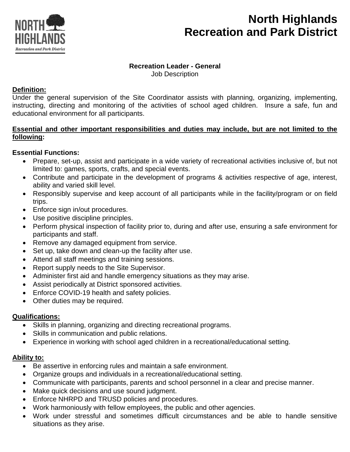

# **North Highlands Recreation and Park District**

## **Recreation Leader - General**

Job Description

#### **Definition:**

Under the general supervision of the Site Coordinator assists with planning, organizing, implementing, instructing, directing and monitoring of the activities of school aged children. Insure a safe, fun and educational environment for all participants.

#### **Essential and other important responsibilities and duties may include, but are not limited to the following:**

#### **Essential Functions:**

- Prepare, set-up, assist and participate in a wide variety of recreational activities inclusive of, but not limited to: games, sports, crafts, and special events.
- Contribute and participate in the development of programs & activities respective of age, interest, ability and varied skill level.
- Responsibly supervise and keep account of all participants while in the facility/program or on field trips.
- Enforce sign in/out procedures.
- Use positive discipline principles.
- Perform physical inspection of facility prior to, during and after use, ensuring a safe environment for participants and staff.
- Remove any damaged equipment from service.
- Set up, take down and clean-up the facility after use.
- Attend all staff meetings and training sessions.
- Report supply needs to the Site Supervisor.
- Administer first aid and handle emergency situations as they may arise.
- Assist periodically at District sponsored activities.
- Enforce COVID-19 health and safety policies.
- Other duties may be required.

#### **Qualifications:**

- Skills in planning, organizing and directing recreational programs.
- Skills in communication and public relations.
- Experience in working with school aged children in a recreational/educational setting.

#### **Ability to:**

- Be assertive in enforcing rules and maintain a safe environment.
- Organize groups and individuals in a recreational/educational setting.
- Communicate with participants, parents and school personnel in a clear and precise manner.
- Make quick decisions and use sound judgment.
- **Enforce NHRPD and TRUSD policies and procedures.**
- Work harmoniously with fellow employees, the public and other agencies.
- Work under stressful and sometimes difficult circumstances and be able to handle sensitive situations as they arise.